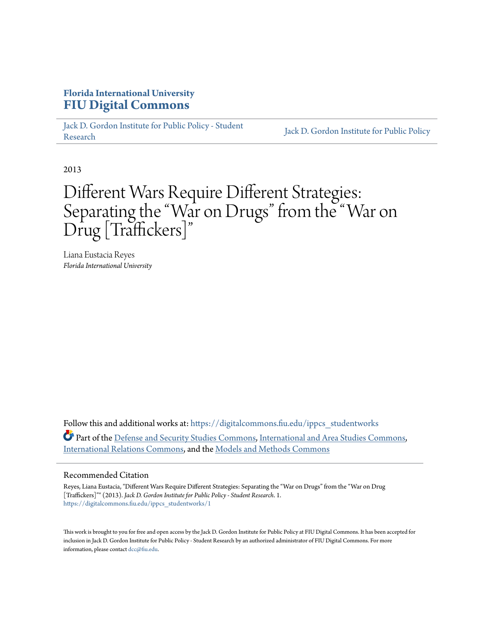# **Florida International University [FIU Digital Commons](https://digitalcommons.fiu.edu?utm_source=digitalcommons.fiu.edu%2Fippcs_studentworks%2F1&utm_medium=PDF&utm_campaign=PDFCoverPages)**

[Jack D. Gordon Institute for Public Policy - Student](https://digitalcommons.fiu.edu/ippcs_studentworks?utm_source=digitalcommons.fiu.edu%2Fippcs_studentworks%2F1&utm_medium=PDF&utm_campaign=PDFCoverPages) Jack D. Gordon Institute for Public Policy<br>[Research](https://digitalcommons.fiu.edu/ippcs_studentworks?utm_source=digitalcommons.fiu.edu%2Fippcs_studentworks%2F1&utm_medium=PDF&utm_campaign=PDFCoverPages)

2013

# Different Wars Require Different Strategies: Separating the "War on Drugs" from the "War on Drug [Traffickers]"

Liana Eustacia Reyes *Florida International University*

Follow this and additional works at: [https://digitalcommons.fiu.edu/ippcs\\_studentworks](https://digitalcommons.fiu.edu/ippcs_studentworks?utm_source=digitalcommons.fiu.edu%2Fippcs_studentworks%2F1&utm_medium=PDF&utm_campaign=PDFCoverPages) Part of the [Defense and Security Studies Commons](http://network.bepress.com/hgg/discipline/394?utm_source=digitalcommons.fiu.edu%2Fippcs_studentworks%2F1&utm_medium=PDF&utm_campaign=PDFCoverPages), [International and Area Studies Commons](http://network.bepress.com/hgg/discipline/360?utm_source=digitalcommons.fiu.edu%2Fippcs_studentworks%2F1&utm_medium=PDF&utm_campaign=PDFCoverPages), [International Relations Commons](http://network.bepress.com/hgg/discipline/389?utm_source=digitalcommons.fiu.edu%2Fippcs_studentworks%2F1&utm_medium=PDF&utm_campaign=PDFCoverPages), and the [Models and Methods Commons](http://network.bepress.com/hgg/discipline/390?utm_source=digitalcommons.fiu.edu%2Fippcs_studentworks%2F1&utm_medium=PDF&utm_campaign=PDFCoverPages)

#### Recommended Citation

Reyes, Liana Eustacia, "Different Wars Require Different Strategies: Separating the "War on Drugs" from the "War on Drug [Traffickers]"" (2013). *Jack D. Gordon Institute for Public Policy - Student Research*. 1. [https://digitalcommons.fiu.edu/ippcs\\_studentworks/1](https://digitalcommons.fiu.edu/ippcs_studentworks/1?utm_source=digitalcommons.fiu.edu%2Fippcs_studentworks%2F1&utm_medium=PDF&utm_campaign=PDFCoverPages)

This work is brought to you for free and open access by the Jack D. Gordon Institute for Public Policy at FIU Digital Commons. It has been accepted for inclusion in Jack D. Gordon Institute for Public Policy - Student Research by an authorized administrator of FIU Digital Commons. For more information, please contact [dcc@fiu.edu](mailto:dcc@fiu.edu).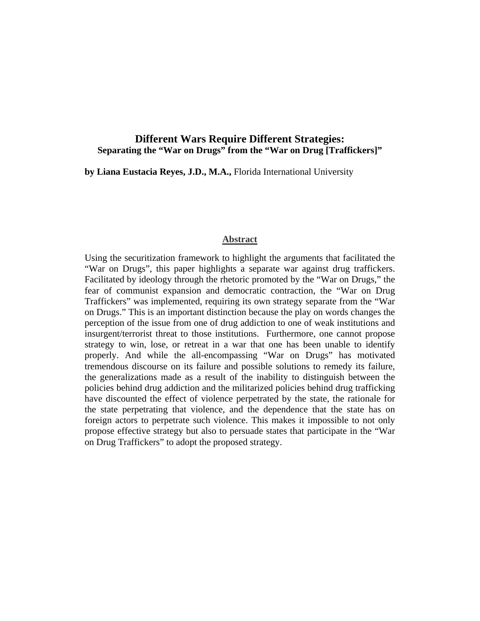# **Different Wars Require Different Strategies: Separating the "War on Drugs" from the "War on Drug [Traffickers]"**

**by Liana Eustacia Reyes, J.D., M.A.,** Florida International University

#### **Abstract**

Using the securitization framework to highlight the arguments that facilitated the "War on Drugs", this paper highlights a separate war against drug traffickers. Facilitated by ideology through the rhetoric promoted by the "War on Drugs," the fear of communist expansion and democratic contraction, the "War on Drug Traffickers" was implemented, requiring its own strategy separate from the "War on Drugs." This is an important distinction because the play on words changes the perception of the issue from one of drug addiction to one of weak institutions and insurgent/terrorist threat to those institutions. Furthermore, one cannot propose strategy to win, lose, or retreat in a war that one has been unable to identify properly. And while the all-encompassing "War on Drugs" has motivated tremendous discourse on its failure and possible solutions to remedy its failure, the generalizations made as a result of the inability to distinguish between the policies behind drug addiction and the militarized policies behind drug trafficking have discounted the effect of violence perpetrated by the state, the rationale for the state perpetrating that violence, and the dependence that the state has on foreign actors to perpetrate such violence. This makes it impossible to not only propose effective strategy but also to persuade states that participate in the "War on Drug Traffickers" to adopt the proposed strategy.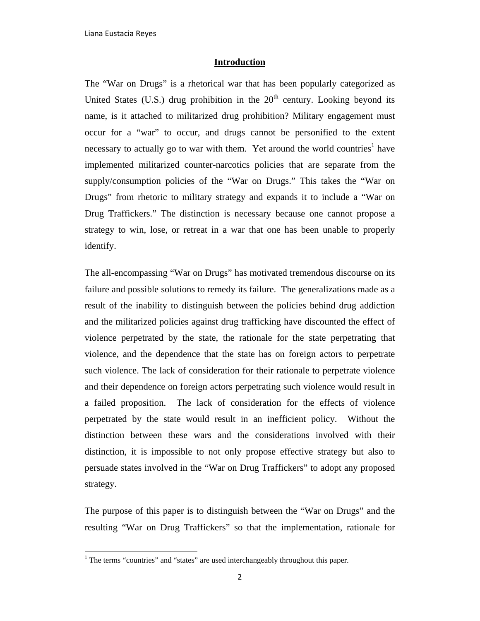## **Introduction**

The "War on Drugs" is a rhetorical war that has been popularly categorized as United States (U.S.) drug prohibition in the  $20<sup>th</sup>$  century. Looking beyond its name, is it attached to militarized drug prohibition? Military engagement must occur for a "war" to occur, and drugs cannot be personified to the extent necessary to actually go to war with them. Yet around the world countries<sup>1</sup> have implemented militarized counter-narcotics policies that are separate from the supply/consumption policies of the "War on Drugs." This takes the "War on Drugs" from rhetoric to military strategy and expands it to include a "War on Drug Traffickers." The distinction is necessary because one cannot propose a strategy to win, lose, or retreat in a war that one has been unable to properly identify.

The all-encompassing "War on Drugs" has motivated tremendous discourse on its failure and possible solutions to remedy its failure. The generalizations made as a result of the inability to distinguish between the policies behind drug addiction and the militarized policies against drug trafficking have discounted the effect of violence perpetrated by the state, the rationale for the state perpetrating that violence, and the dependence that the state has on foreign actors to perpetrate such violence. The lack of consideration for their rationale to perpetrate violence and their dependence on foreign actors perpetrating such violence would result in a failed proposition. The lack of consideration for the effects of violence perpetrated by the state would result in an inefficient policy. Without the distinction between these wars and the considerations involved with their distinction, it is impossible to not only propose effective strategy but also to persuade states involved in the "War on Drug Traffickers" to adopt any proposed strategy.

The purpose of this paper is to distinguish between the "War on Drugs" and the resulting "War on Drug Traffickers" so that the implementation, rationale for

<sup>&</sup>lt;sup>1</sup> The terms "countries" and "states" are used interchangeably throughout this paper.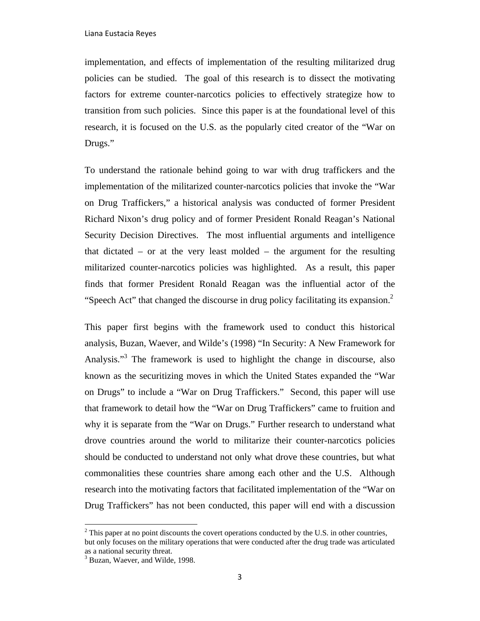implementation, and effects of implementation of the resulting militarized drug policies can be studied. The goal of this research is to dissect the motivating factors for extreme counter-narcotics policies to effectively strategize how to transition from such policies. Since this paper is at the foundational level of this research, it is focused on the U.S. as the popularly cited creator of the "War on Drugs."

To understand the rationale behind going to war with drug traffickers and the implementation of the militarized counter-narcotics policies that invoke the "War on Drug Traffickers," a historical analysis was conducted of former President Richard Nixon's drug policy and of former President Ronald Reagan's National Security Decision Directives. The most influential arguments and intelligence that dictated – or at the very least molded – the argument for the resulting militarized counter-narcotics policies was highlighted. As a result, this paper finds that former President Ronald Reagan was the influential actor of the "Speech Act" that changed the discourse in drug policy facilitating its expansion. $2$ 

This paper first begins with the framework used to conduct this historical analysis, Buzan, Waever, and Wilde's (1998) "In Security: A New Framework for Analysis."3 The framework is used to highlight the change in discourse, also known as the securitizing moves in which the United States expanded the "War on Drugs" to include a "War on Drug Traffickers." Second, this paper will use that framework to detail how the "War on Drug Traffickers" came to fruition and why it is separate from the "War on Drugs." Further research to understand what drove countries around the world to militarize their counter-narcotics policies should be conducted to understand not only what drove these countries, but what commonalities these countries share among each other and the U.S. Although research into the motivating factors that facilitated implementation of the "War on Drug Traffickers" has not been conducted, this paper will end with a discussion

 $2^2$  This paper at no point discounts the covert operations conducted by the U.S. in other countries, but only focuses on the military operations that were conducted after the drug trade was articulated as a national security threat.

<sup>&</sup>lt;sup>3</sup> Buzan, Waever, and Wilde, 1998.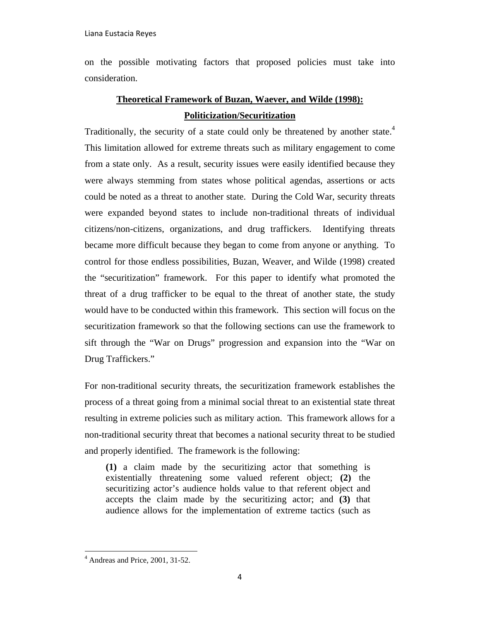on the possible motivating factors that proposed policies must take into consideration.

# **Theoretical Framework of Buzan, Waever, and Wilde (1998): Politicization/Securitization**

Traditionally, the security of a state could only be threatened by another state.<sup>4</sup> This limitation allowed for extreme threats such as military engagement to come from a state only. As a result, security issues were easily identified because they were always stemming from states whose political agendas, assertions or acts could be noted as a threat to another state. During the Cold War, security threats were expanded beyond states to include non-traditional threats of individual citizens/non-citizens, organizations, and drug traffickers. Identifying threats became more difficult because they began to come from anyone or anything. To control for those endless possibilities, Buzan, Weaver, and Wilde (1998) created the "securitization" framework. For this paper to identify what promoted the threat of a drug trafficker to be equal to the threat of another state, the study would have to be conducted within this framework. This section will focus on the securitization framework so that the following sections can use the framework to sift through the "War on Drugs" progression and expansion into the "War on Drug Traffickers."

For non-traditional security threats, the securitization framework establishes the process of a threat going from a minimal social threat to an existential state threat resulting in extreme policies such as military action. This framework allows for a non-traditional security threat that becomes a national security threat to be studied and properly identified. The framework is the following:

**(1)** a claim made by the securitizing actor that something is existentially threatening some valued referent object; **(2)** the securitizing actor's audience holds value to that referent object and accepts the claim made by the securitizing actor; and **(3)** that audience allows for the implementation of extreme tactics (such as

  $4$  Andreas and Price, 2001, 31-52.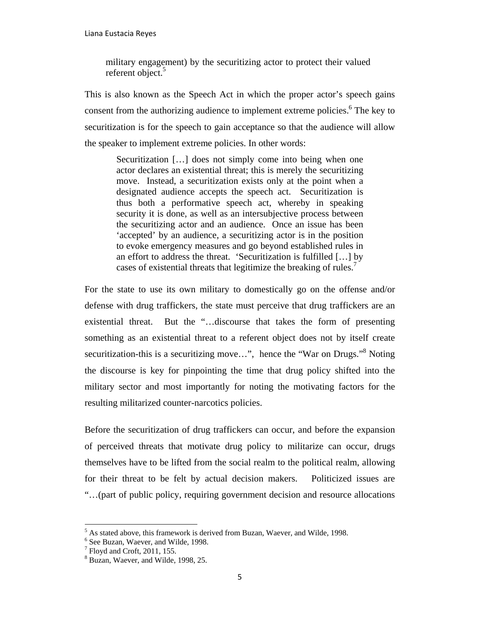military engagement) by the securitizing actor to protect their valued referent object.<sup>5</sup>

This is also known as the Speech Act in which the proper actor's speech gains consent from the authorizing audience to implement extreme policies.<sup>6</sup> The key to securitization is for the speech to gain acceptance so that the audience will allow the speaker to implement extreme policies. In other words:

> Securitization [...] does not simply come into being when one actor declares an existential threat; this is merely the securitizing move. Instead, a securitization exists only at the point when a designated audience accepts the speech act. Securitization is thus both a performative speech act, whereby in speaking security it is done, as well as an intersubjective process between the securitizing actor and an audience. Once an issue has been 'accepted' by an audience, a securitizing actor is in the position to evoke emergency measures and go beyond established rules in an effort to address the threat. 'Securitization is fulfilled […] by cases of existential threats that legitimize the breaking of rules.<sup>7</sup>

For the state to use its own military to domestically go on the offense and/or defense with drug traffickers, the state must perceive that drug traffickers are an existential threat. But the "…discourse that takes the form of presenting something as an existential threat to a referent object does not by itself create securitization-this is a securitizing move...", hence the "War on Drugs."<sup>8</sup> Noting the discourse is key for pinpointing the time that drug policy shifted into the military sector and most importantly for noting the motivating factors for the resulting militarized counter-narcotics policies.

Before the securitization of drug traffickers can occur, and before the expansion of perceived threats that motivate drug policy to militarize can occur, drugs themselves have to be lifted from the social realm to the political realm, allowing for their threat to be felt by actual decision makers. Politicized issues are "…(part of public policy, requiring government decision and resource allocations

 $^5$  As stated above, this framework is derived from Buzan, Waever, and Wilde, 1998.

<sup>&</sup>lt;sup>6</sup> See Buzan, Waever, and Wilde, 1998.

 $<sup>7</sup>$  Floyd and Croft, 2011, 155.</sup>

<sup>&</sup>lt;sup>8</sup> Buzan, Waever, and Wilde, 1998, 25.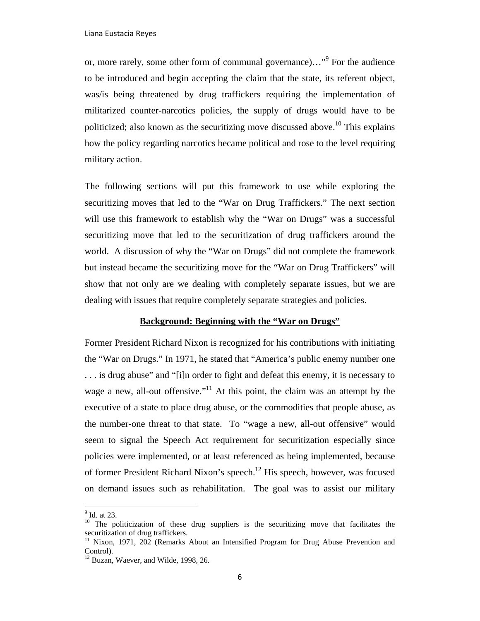or, more rarely, some other form of communal governance)..."<sup>9</sup> For the audience to be introduced and begin accepting the claim that the state, its referent object, was/is being threatened by drug traffickers requiring the implementation of militarized counter-narcotics policies, the supply of drugs would have to be politicized; also known as the securitizing move discussed above.<sup>10</sup> This explains how the policy regarding narcotics became political and rose to the level requiring military action.

The following sections will put this framework to use while exploring the securitizing moves that led to the "War on Drug Traffickers." The next section will use this framework to establish why the "War on Drugs" was a successful securitizing move that led to the securitization of drug traffickers around the world. A discussion of why the "War on Drugs" did not complete the framework but instead became the securitizing move for the "War on Drug Traffickers" will show that not only are we dealing with completely separate issues, but we are dealing with issues that require completely separate strategies and policies.

# **Background: Beginning with the "War on Drugs"**

Former President Richard Nixon is recognized for his contributions with initiating the "War on Drugs." In 1971, he stated that "America's public enemy number one . . . is drug abuse" and "[i]n order to fight and defeat this enemy, it is necessary to wage a new, all-out offensive."<sup>11</sup> At this point, the claim was an attempt by the executive of a state to place drug abuse, or the commodities that people abuse, as the number-one threat to that state. To "wage a new, all-out offensive" would seem to signal the Speech Act requirement for securitization especially since policies were implemented, or at least referenced as being implemented, because of former President Richard Nixon's speech.12 His speech, however, was focused on demand issues such as rehabilitation. The goal was to assist our military

<sup>&</sup>lt;sup>9</sup> Id. at 23.

<sup>&</sup>lt;sup>10</sup> The politicization of these drug suppliers is the securitizing move that facilitates the securitization of drug traffickers.

<sup>&</sup>lt;sup>11</sup> Nixon, 1971, 202 (Remarks About an Intensified Program for Drug Abuse Prevention and Control).

 $12$  Buzan, Waever, and Wilde, 1998, 26.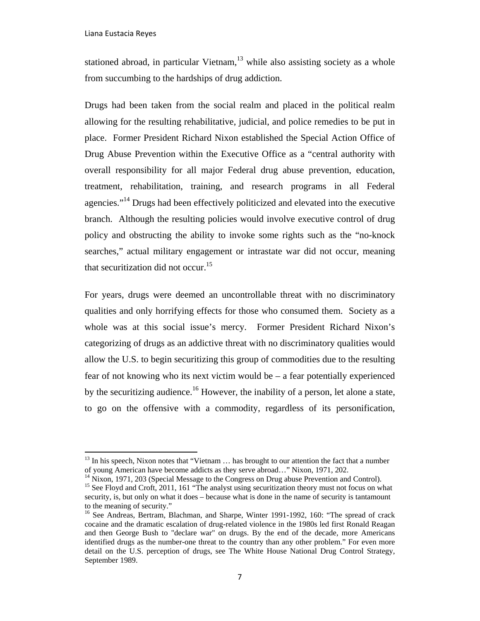stationed abroad, in particular Vietnam, $13$  while also assisting society as a whole from succumbing to the hardships of drug addiction.

Drugs had been taken from the social realm and placed in the political realm allowing for the resulting rehabilitative, judicial, and police remedies to be put in place. Former President Richard Nixon established the Special Action Office of Drug Abuse Prevention within the Executive Office as a "central authority with overall responsibility for all major Federal drug abuse prevention, education, treatment, rehabilitation, training, and research programs in all Federal agencies."<sup>14</sup> Drugs had been effectively politicized and elevated into the executive branch. Although the resulting policies would involve executive control of drug policy and obstructing the ability to invoke some rights such as the "no-knock searches," actual military engagement or intrastate war did not occur, meaning that securitization did not occur.<sup>15</sup>

For years, drugs were deemed an uncontrollable threat with no discriminatory qualities and only horrifying effects for those who consumed them. Society as a whole was at this social issue's mercy. Former President Richard Nixon's categorizing of drugs as an addictive threat with no discriminatory qualities would allow the U.S. to begin securitizing this group of commodities due to the resulting fear of not knowing who its next victim would be – a fear potentially experienced by the securitizing audience.<sup>16</sup> However, the inability of a person, let alone a state, to go on the offensive with a commodity, regardless of its personification,

 $<sup>13</sup>$  In his speech, Nixon notes that "Vietnam  $\ldots$  has brought to our attention the fact that a number</sup> of young American have become addicts as they serve abroad…" Nixon, 1971, 202. 14 Nixon, 1971, 203 (Special Message to the Congress on Drug abuse Prevention and Control).

<sup>&</sup>lt;sup>15</sup> See Floyd and Croft, 2011, 161 "The analyst using securitization theory must not focus on what security, is, but only on what it does – because what is done in the name of security is tantamount to the meaning of security."

<sup>&</sup>lt;sup>16</sup> See Andreas, Bertram, Blachman, and Sharpe, Winter 1991-1992, 160: "The spread of crack cocaine and the dramatic escalation of drug-related violence in the 1980s led first Ronald Reagan and then George Bush to "declare war" on drugs. By the end of the decade, more Americans identified drugs as the number-one threat to the country than any other problem." For even more detail on the U.S. perception of drugs, see The White House National Drug Control Strategy, September 1989.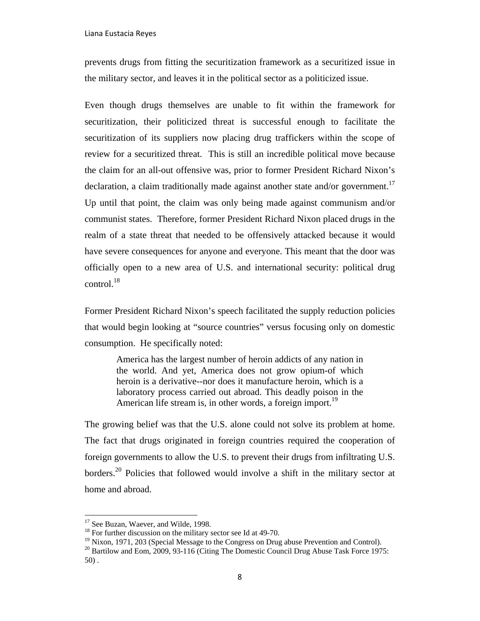prevents drugs from fitting the securitization framework as a securitized issue in the military sector, and leaves it in the political sector as a politicized issue.

Even though drugs themselves are unable to fit within the framework for securitization, their politicized threat is successful enough to facilitate the securitization of its suppliers now placing drug traffickers within the scope of review for a securitized threat. This is still an incredible political move because the claim for an all-out offensive was, prior to former President Richard Nixon's declaration, a claim traditionally made against another state and/or government.<sup>17</sup> Up until that point, the claim was only being made against communism and/or communist states. Therefore, former President Richard Nixon placed drugs in the realm of a state threat that needed to be offensively attacked because it would have severe consequences for anyone and everyone. This meant that the door was officially open to a new area of U.S. and international security: political drug control. $^{18}$ 

Former President Richard Nixon's speech facilitated the supply reduction policies that would begin looking at "source countries" versus focusing only on domestic consumption. He specifically noted:

> America has the largest number of heroin addicts of any nation in the world. And yet, America does not grow opium-of which heroin is a derivative--nor does it manufacture heroin, which is a laboratory process carried out abroad. This deadly poison in the American life stream is, in other words, a foreign import.<sup>19</sup>

The growing belief was that the U.S. alone could not solve its problem at home. The fact that drugs originated in foreign countries required the cooperation of foreign governments to allow the U.S. to prevent their drugs from infiltrating U.S. borders.<sup>20</sup> Policies that followed would involve a shift in the military sector at home and abroad.

<sup>&</sup>lt;sup>17</sup> See Buzan, Waever, and Wilde, 1998.

<sup>&</sup>lt;sup>18</sup> For further discussion on the military sector see Id at 49-70.

 $19$  Nixon, 1971, 203 (Special Message to the Congress on Drug abuse Prevention and Control).

<sup>&</sup>lt;sup>20</sup> Bartilow and Eom, 2009, 93-116 (Citing The Domestic Council Drug Abuse Task Force 1975: 50) .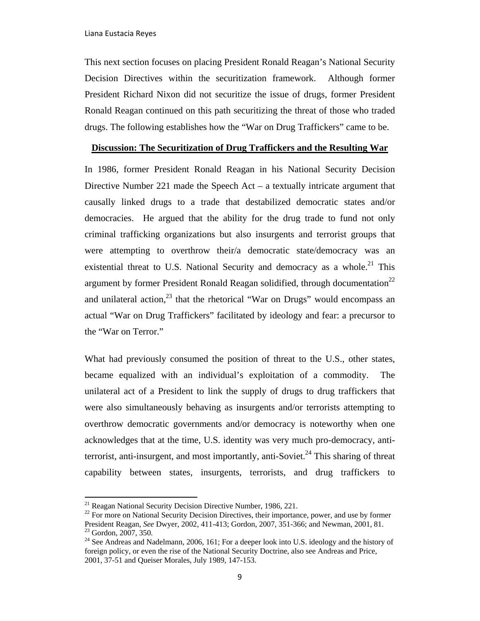This next section focuses on placing President Ronald Reagan's National Security Decision Directives within the securitization framework. Although former President Richard Nixon did not securitize the issue of drugs, former President Ronald Reagan continued on this path securitizing the threat of those who traded drugs. The following establishes how the "War on Drug Traffickers" came to be.

# **Discussion: The Securitization of Drug Traffickers and the Resulting War**

In 1986, former President Ronald Reagan in his National Security Decision Directive Number 221 made the Speech Act – a textually intricate argument that causally linked drugs to a trade that destabilized democratic states and/or democracies. He argued that the ability for the drug trade to fund not only criminal trafficking organizations but also insurgents and terrorist groups that were attempting to overthrow their/a democratic state/democracy was an existential threat to U.S. National Security and democracy as a whole.<sup>21</sup> This argument by former President Ronald Reagan solidified, through documentation<sup>22</sup> and unilateral action,  $2^3$  that the rhetorical "War on Drugs" would encompass an actual "War on Drug Traffickers" facilitated by ideology and fear: a precursor to the "War on Terror."

What had previously consumed the position of threat to the U.S., other states, became equalized with an individual's exploitation of a commodity. The unilateral act of a President to link the supply of drugs to drug traffickers that were also simultaneously behaving as insurgents and/or terrorists attempting to overthrow democratic governments and/or democracy is noteworthy when one acknowledges that at the time, U.S. identity was very much pro-democracy, antiterrorist, anti-insurgent, and most importantly, anti-Soviet.<sup>24</sup> This sharing of threat capability between states, insurgents, terrorists, and drug traffickers to

<sup>&</sup>lt;sup>21</sup> Reagan National Security Decision Directive Number, 1986, 221.<br><sup>22</sup> For more on National Security Decision Directives, their importance, power, and use by former President Reagan, *See* Dwyer, 2002, 411-413; Gordon, 2007, 351-366; and Newman, 2001, 81. 23 Gordon, 2007, 350.

 $24$  See Andreas and Nadelmann, 2006, 161; For a deeper look into U.S. ideology and the history of foreign policy, or even the rise of the National Security Doctrine, also see Andreas and Price, 2001, 37-51 and Queiser Morales, July 1989, 147-153.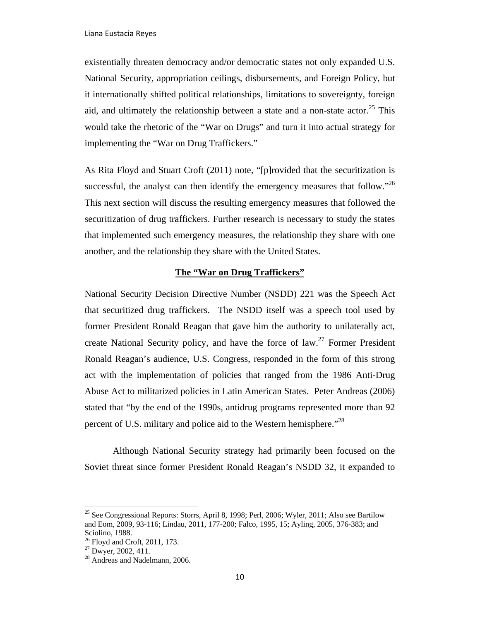existentially threaten democracy and/or democratic states not only expanded U.S. National Security, appropriation ceilings, disbursements, and Foreign Policy, but it internationally shifted political relationships, limitations to sovereignty, foreign aid, and ultimately the relationship between a state and a non-state actor.<sup>25</sup> This would take the rhetoric of the "War on Drugs" and turn it into actual strategy for implementing the "War on Drug Traffickers."

As Rita Floyd and Stuart Croft (2011) note, "[p]rovided that the securitization is successful, the analyst can then identify the emergency measures that follow.<sup> $26$ </sup> This next section will discuss the resulting emergency measures that followed the securitization of drug traffickers. Further research is necessary to study the states that implemented such emergency measures, the relationship they share with one another, and the relationship they share with the United States.

# **The "War on Drug Traffickers"**

National Security Decision Directive Number (NSDD) 221 was the Speech Act that securitized drug traffickers. The NSDD itself was a speech tool used by former President Ronald Reagan that gave him the authority to unilaterally act, create National Security policy, and have the force of law.<sup>27</sup> Former President Ronald Reagan's audience, U.S. Congress, responded in the form of this strong act with the implementation of policies that ranged from the 1986 Anti-Drug Abuse Act to militarized policies in Latin American States. Peter Andreas (2006) stated that "by the end of the 1990s, antidrug programs represented more than 92 percent of U.S. military and police aid to the Western hemisphere."<sup>28</sup>

Although National Security strategy had primarily been focused on the Soviet threat since former President Ronald Reagan's NSDD 32, it expanded to

<sup>&</sup>lt;sup>25</sup> See Congressional Reports: Storrs, April 8, 1998; Perl, 2006; Wyler, 2011; Also see Bartilow and Eom, 2009, 93-116; Lindau, 2011, 177-200; Falco, 1995, 15; Ayling, 2005, 376-383; and Sciolino, 1988.

 $26$  Floyd and Croft, 2011, 173.

 $27$  Dwyer, 2002, 411.

<sup>&</sup>lt;sup>28</sup> Andreas and Nadelmann, 2006.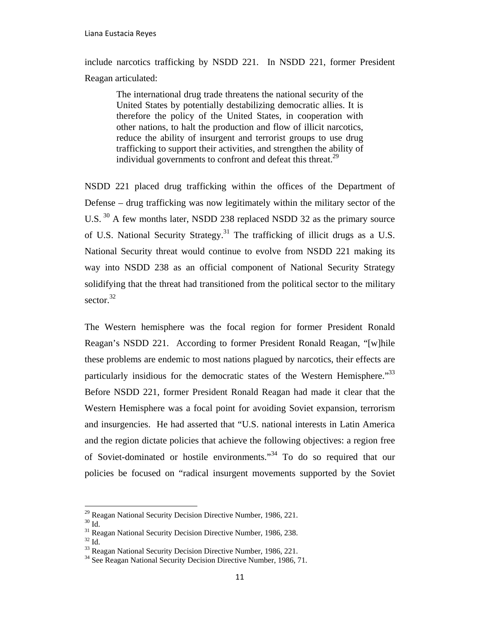include narcotics trafficking by NSDD 221. In NSDD 221, former President Reagan articulated:

> The international drug trade threatens the national security of the United States by potentially destabilizing democratic allies. It is therefore the policy of the United States, in cooperation with other nations, to halt the production and flow of illicit narcotics, reduce the ability of insurgent and terrorist groups to use drug trafficking to support their activities, and strengthen the ability of individual governments to confront and defeat this threat.<sup>29</sup>

NSDD 221 placed drug trafficking within the offices of the Department of Defense – drug trafficking was now legitimately within the military sector of the U.S. <sup>30</sup> A few months later, NSDD 238 replaced NSDD 32 as the primary source of U.S. National Security Strategy.31 The trafficking of illicit drugs as a U.S. National Security threat would continue to evolve from NSDD 221 making its way into NSDD 238 as an official component of National Security Strategy solidifying that the threat had transitioned from the political sector to the military sector. $32$ 

The Western hemisphere was the focal region for former President Ronald Reagan's NSDD 221. According to former President Ronald Reagan, "[w]hile these problems are endemic to most nations plagued by narcotics, their effects are particularly insidious for the democratic states of the Western Hemisphere.<sup>33</sup> Before NSDD 221, former President Ronald Reagan had made it clear that the Western Hemisphere was a focal point for avoiding Soviet expansion, terrorism and insurgencies. He had asserted that "U.S. national interests in Latin America and the region dictate policies that achieve the following objectives: a region free of Soviet-dominated or hostile environments."34 To do so required that our policies be focused on "radical insurgent movements supported by the Soviet

<sup>&</sup>lt;sup>29</sup> Reagan National Security Decision Directive Number, 1986, 221.<br><sup>30</sup> Id.

<sup>&</sup>lt;sup>31</sup> Reagan National Security Decision Directive Number, 1986, 238.<br><sup>32</sup> Id. <sup>33</sup> Reagan National Security Decision Directive Number, 1986, 221.

<sup>&</sup>lt;sup>34</sup> See Reagan National Security Decision Directive Number, 1986, 71.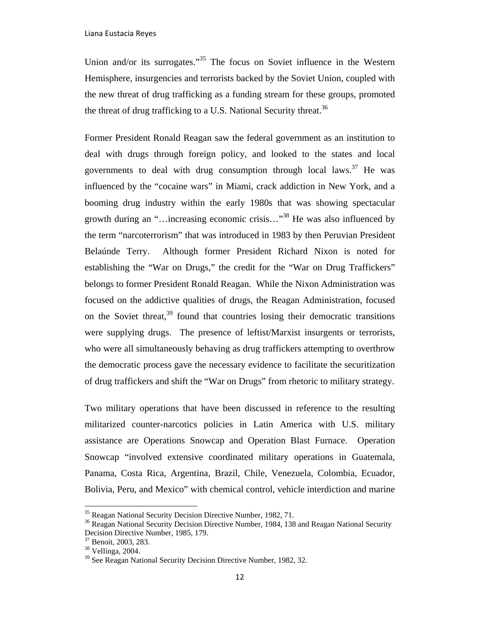Union and/or its surrogates."<sup>35</sup> The focus on Soviet influence in the Western Hemisphere, insurgencies and terrorists backed by the Soviet Union, coupled with the new threat of drug trafficking as a funding stream for these groups, promoted the threat of drug trafficking to a U.S. National Security threat.<sup>36</sup>

Former President Ronald Reagan saw the federal government as an institution to deal with drugs through foreign policy, and looked to the states and local governments to deal with drug consumption through local laws.<sup>37</sup> He was influenced by the "cocaine wars" in Miami, crack addiction in New York, and a booming drug industry within the early 1980s that was showing spectacular growth during an "…increasing economic crisis…"<sup>38</sup> He was also influenced by the term "narcoterrorism" that was introduced in 1983 by then Peruvian President Belaúnde Terry. Although former President Richard Nixon is noted for establishing the "War on Drugs," the credit for the "War on Drug Traffickers" belongs to former President Ronald Reagan. While the Nixon Administration was focused on the addictive qualities of drugs, the Reagan Administration, focused on the Soviet threat, $39$  found that countries losing their democratic transitions were supplying drugs. The presence of leftist/Marxist insurgents or terrorists, who were all simultaneously behaving as drug traffickers attempting to overthrow the democratic process gave the necessary evidence to facilitate the securitization of drug traffickers and shift the "War on Drugs" from rhetoric to military strategy.

Two military operations that have been discussed in reference to the resulting militarized counter-narcotics policies in Latin America with U.S. military assistance are Operations Snowcap and Operation Blast Furnace. Operation Snowcap "involved extensive coordinated military operations in Guatemala, Panama, Costa Rica, Argentina, Brazil, Chile, Venezuela, Colombia, Ecuador, Bolivia, Peru, and Mexico" with chemical control, vehicle interdiction and marine

<sup>&</sup>lt;sup>35</sup> Reagan National Security Decision Directive Number, 1982, 71.

<sup>&</sup>lt;sup>36</sup> Reagan National Security Decision Directive Number, 1984, 138 and Reagan National Security Decision Directive Number, 1985, 179.

<sup>37</sup> Benoit, 2003, 283.

 $38$  Vellinga, 2004.

<sup>&</sup>lt;sup>39</sup> See Reagan National Security Decision Directive Number, 1982, 32.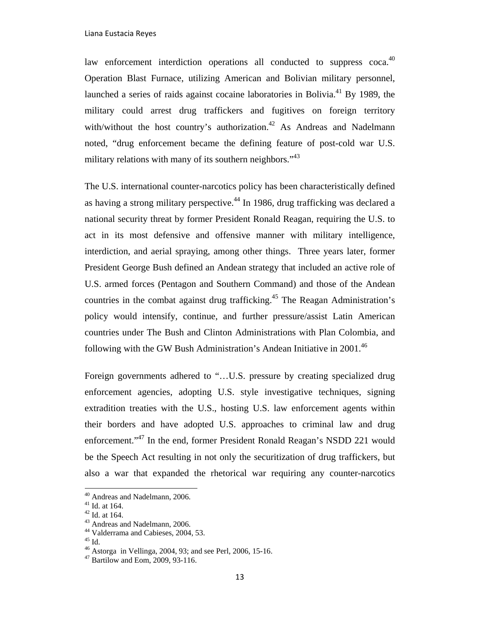law enforcement interdiction operations all conducted to suppress coca. $40$ Operation Blast Furnace, utilizing American and Bolivian military personnel, launched a series of raids against cocaine laboratories in Bolivia.<sup>41</sup> By 1989, the military could arrest drug traffickers and fugitives on foreign territory with/without the host country's authorization.<sup>42</sup> As Andreas and Nadelmann noted, "drug enforcement became the defining feature of post-cold war U.S. military relations with many of its southern neighbors.<sup> $143$ </sup>

The U.S. international counter-narcotics policy has been characteristically defined as having a strong military perspective.<sup>44</sup> In 1986, drug trafficking was declared a national security threat by former President Ronald Reagan, requiring the U.S. to act in its most defensive and offensive manner with military intelligence, interdiction, and aerial spraying, among other things. Three years later, former President George Bush defined an Andean strategy that included an active role of U.S. armed forces (Pentagon and Southern Command) and those of the Andean countries in the combat against drug trafficking.45 The Reagan Administration's policy would intensify, continue, and further pressure/assist Latin American countries under The Bush and Clinton Administrations with Plan Colombia, and following with the GW Bush Administration's Andean Initiative in  $2001<sup>46</sup>$ 

Foreign governments adhered to "...U.S. pressure by creating specialized drug enforcement agencies, adopting U.S. style investigative techniques, signing extradition treaties with the U.S., hosting U.S. law enforcement agents within their borders and have adopted U.S. approaches to criminal law and drug enforcement."<sup>47</sup> In the end, former President Ronald Reagan's NSDD 221 would be the Speech Act resulting in not only the securitization of drug traffickers, but also a war that expanded the rhetorical war requiring any counter-narcotics

 40 Andreas and Nadelmann, 2006.

<sup>41</sup> Id. at 164.

<sup>42</sup> Id. at 164.

<sup>43</sup> Andreas and Nadelmann, 2006.

<sup>44</sup> Valderrama and Cabieses, 2004, 53.

 $^{45}$  Id.

<sup>46</sup> Astorga in Vellinga, 2004, 93; and see Perl, 2006, 15-16.

<sup>47</sup> Bartilow and Eom, 2009, 93-116.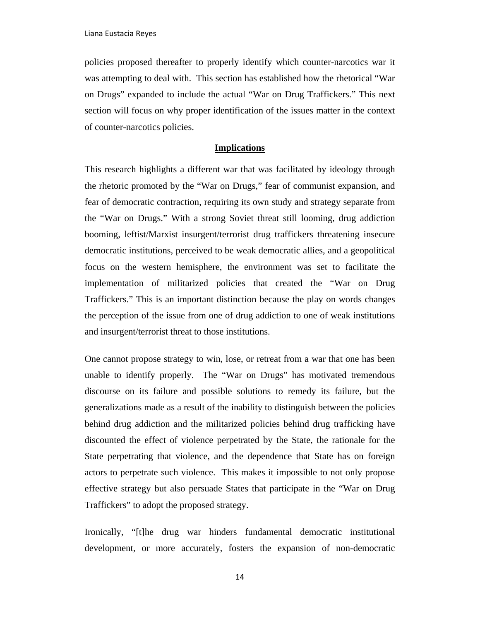policies proposed thereafter to properly identify which counter-narcotics war it was attempting to deal with. This section has established how the rhetorical "War on Drugs" expanded to include the actual "War on Drug Traffickers." This next section will focus on why proper identification of the issues matter in the context of counter-narcotics policies.

# **Implications**

This research highlights a different war that was facilitated by ideology through the rhetoric promoted by the "War on Drugs," fear of communist expansion, and fear of democratic contraction, requiring its own study and strategy separate from the "War on Drugs." With a strong Soviet threat still looming, drug addiction booming, leftist/Marxist insurgent/terrorist drug traffickers threatening insecure democratic institutions, perceived to be weak democratic allies, and a geopolitical focus on the western hemisphere, the environment was set to facilitate the implementation of militarized policies that created the "War on Drug Traffickers." This is an important distinction because the play on words changes the perception of the issue from one of drug addiction to one of weak institutions and insurgent/terrorist threat to those institutions.

One cannot propose strategy to win, lose, or retreat from a war that one has been unable to identify properly. The "War on Drugs" has motivated tremendous discourse on its failure and possible solutions to remedy its failure, but the generalizations made as a result of the inability to distinguish between the policies behind drug addiction and the militarized policies behind drug trafficking have discounted the effect of violence perpetrated by the State, the rationale for the State perpetrating that violence, and the dependence that State has on foreign actors to perpetrate such violence. This makes it impossible to not only propose effective strategy but also persuade States that participate in the "War on Drug Traffickers" to adopt the proposed strategy.

Ironically, "[t]he drug war hinders fundamental democratic institutional development, or more accurately, fosters the expansion of non-democratic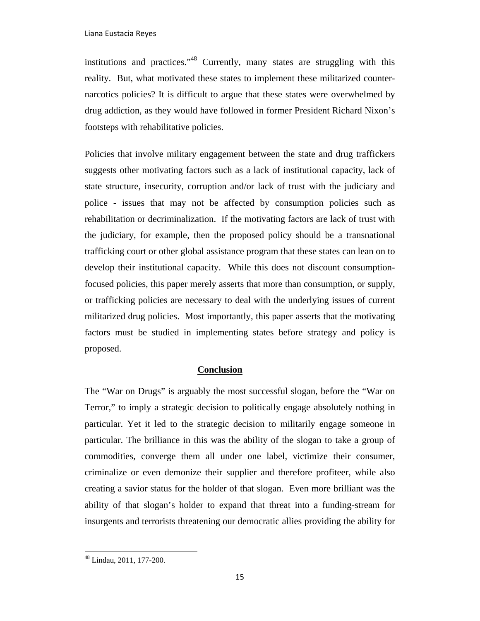institutions and practices."48 Currently, many states are struggling with this reality. But, what motivated these states to implement these militarized counternarcotics policies? It is difficult to argue that these states were overwhelmed by drug addiction, as they would have followed in former President Richard Nixon's footsteps with rehabilitative policies.

Policies that involve military engagement between the state and drug traffickers suggests other motivating factors such as a lack of institutional capacity, lack of state structure, insecurity, corruption and/or lack of trust with the judiciary and police - issues that may not be affected by consumption policies such as rehabilitation or decriminalization. If the motivating factors are lack of trust with the judiciary, for example, then the proposed policy should be a transnational trafficking court or other global assistance program that these states can lean on to develop their institutional capacity. While this does not discount consumptionfocused policies, this paper merely asserts that more than consumption, or supply, or trafficking policies are necessary to deal with the underlying issues of current militarized drug policies. Most importantly, this paper asserts that the motivating factors must be studied in implementing states before strategy and policy is proposed.

# **Conclusion**

The "War on Drugs" is arguably the most successful slogan, before the "War on Terror," to imply a strategic decision to politically engage absolutely nothing in particular. Yet it led to the strategic decision to militarily engage someone in particular. The brilliance in this was the ability of the slogan to take a group of commodities, converge them all under one label, victimize their consumer, criminalize or even demonize their supplier and therefore profiteer, while also creating a savior status for the holder of that slogan. Even more brilliant was the ability of that slogan's holder to expand that threat into a funding-stream for insurgents and terrorists threatening our democratic allies providing the ability for

<sup>48</sup> Lindau, 2011, 177-200.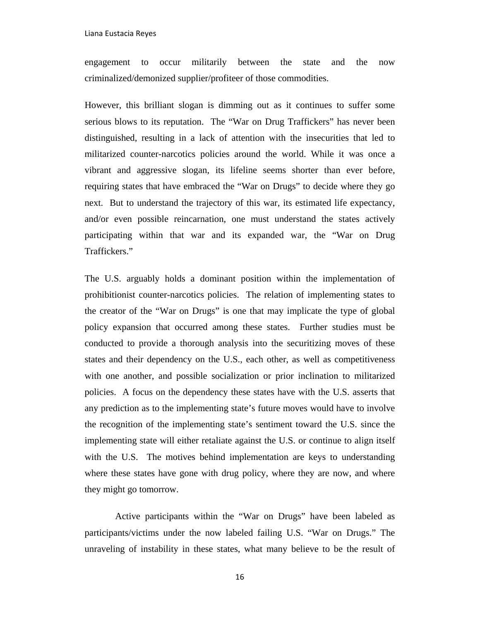engagement to occur militarily between the state and the now criminalized/demonized supplier/profiteer of those commodities.

However, this brilliant slogan is dimming out as it continues to suffer some serious blows to its reputation. The "War on Drug Traffickers" has never been distinguished, resulting in a lack of attention with the insecurities that led to militarized counter-narcotics policies around the world. While it was once a vibrant and aggressive slogan, its lifeline seems shorter than ever before, requiring states that have embraced the "War on Drugs" to decide where they go next. But to understand the trajectory of this war, its estimated life expectancy, and/or even possible reincarnation, one must understand the states actively participating within that war and its expanded war, the "War on Drug Traffickers."

The U.S. arguably holds a dominant position within the implementation of prohibitionist counter-narcotics policies. The relation of implementing states to the creator of the "War on Drugs" is one that may implicate the type of global policy expansion that occurred among these states. Further studies must be conducted to provide a thorough analysis into the securitizing moves of these states and their dependency on the U.S., each other, as well as competitiveness with one another, and possible socialization or prior inclination to militarized policies. A focus on the dependency these states have with the U.S. asserts that any prediction as to the implementing state's future moves would have to involve the recognition of the implementing state's sentiment toward the U.S. since the implementing state will either retaliate against the U.S. or continue to align itself with the U.S. The motives behind implementation are keys to understanding where these states have gone with drug policy, where they are now, and where they might go tomorrow.

 Active participants within the "War on Drugs" have been labeled as participants/victims under the now labeled failing U.S. "War on Drugs." The unraveling of instability in these states, what many believe to be the result of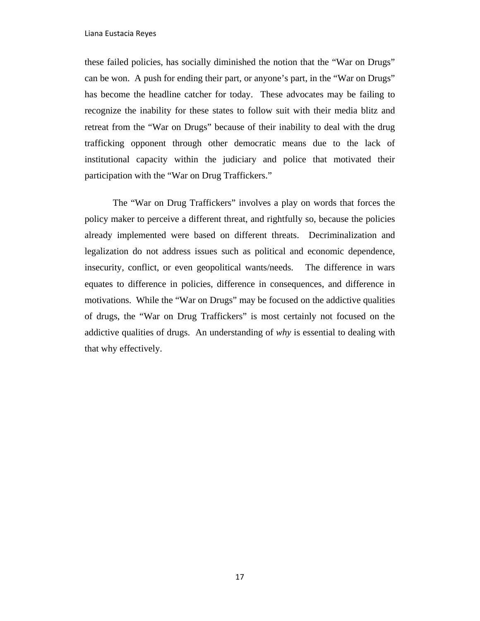these failed policies, has socially diminished the notion that the "War on Drugs" can be won. A push for ending their part, or anyone's part, in the "War on Drugs" has become the headline catcher for today. These advocates may be failing to recognize the inability for these states to follow suit with their media blitz and retreat from the "War on Drugs" because of their inability to deal with the drug trafficking opponent through other democratic means due to the lack of institutional capacity within the judiciary and police that motivated their participation with the "War on Drug Traffickers."

The "War on Drug Traffickers" involves a play on words that forces the policy maker to perceive a different threat, and rightfully so, because the policies already implemented were based on different threats. Decriminalization and legalization do not address issues such as political and economic dependence, insecurity, conflict, or even geopolitical wants/needs. The difference in wars equates to difference in policies, difference in consequences, and difference in motivations. While the "War on Drugs" may be focused on the addictive qualities of drugs, the "War on Drug Traffickers" is most certainly not focused on the addictive qualities of drugs. An understanding of *why* is essential to dealing with that why effectively.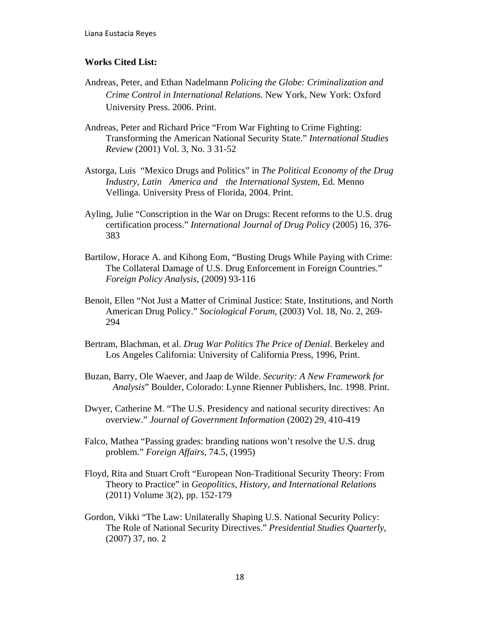## **Works Cited List:**

- Andreas, Peter, and Ethan Nadelmann *Policing the Globe: Criminalization and Crime Control in International Relations.* New York, New York: Oxford University Press. 2006. Print.
- Andreas, Peter and Richard Price "From War Fighting to Crime Fighting: Transforming the American National Security State." *International Studies Review* (2001) Vol. 3, No. 3 31-52
- Astorga, Luis "Mexico Drugs and Politics" in *The Political Economy of the Drug Industry, Latin America and the International System*, Ed. Menno Vellinga. University Press of Florida, 2004. Print.
- Ayling, Julie "Conscription in the War on Drugs: Recent reforms to the U.S. drug certification process." *International Journal of Drug Policy* (2005) 16, 376- 383
- Bartilow, Horace A. and Kihong Eom, "Busting Drugs While Paying with Crime: The Collateral Damage of U.S. Drug Enforcement in Foreign Countries." *Foreign Policy Analysis*, (2009) 93-116
- Benoit, Ellen "Not Just a Matter of Criminal Justice: State, Institutions, and North American Drug Policy." *Sociological Forum*, (2003) Vol. 18, No. 2, 269- 294
- Bertram, Blachman, et al. *Drug War Politics The Price of Denial*. Berkeley and Los Angeles California: University of California Press, 1996, Print.
- Buzan, Barry, Ole Waever, and Jaap de Wilde. *Security: A New Framework for Analysis*" Boulder, Colorado: Lynne Rienner Publishers, Inc. 1998. Print.
- Dwyer, Catherine M. "The U.S. Presidency and national security directives: An overview." *Journal of Government Information* (2002) 29, 410-419
- Falco, Mathea "Passing grades: branding nations won't resolve the U.S. drug problem." *Foreign Affairs*, 74.5, (1995)
- Floyd, Rita and Stuart Croft "European Non-Traditional Security Theory: From Theory to Practice" in *Geopolitics, History, and International Relations* (2011) Volume 3(2), pp. 152-179
- Gordon, Vikki "The Law: Unilaterally Shaping U.S. National Security Policy: The Role of National Security Directives." *Presidential Studies Quarterly*, (2007) 37, no. 2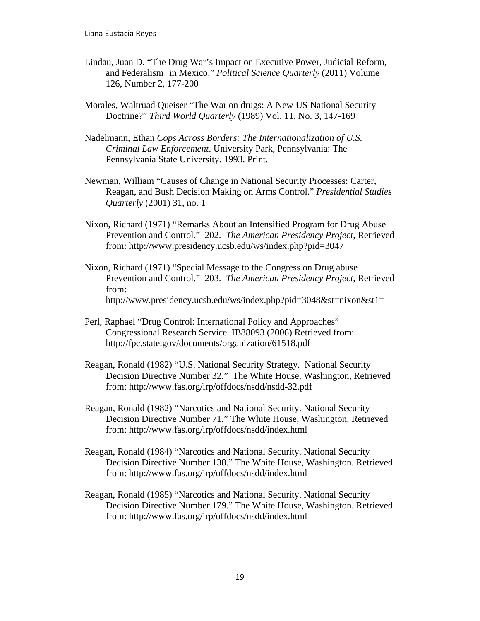- Lindau, Juan D. "The Drug War's Impact on Executive Power, Judicial Reform, and Federalism in Mexico." *Political Science Quarterly* (2011) Volume 126, Number 2, 177-200
- Morales, Waltruad Queiser "The War on drugs: A New US National Security Doctrine?" *Third World Quarterly* (1989) Vol. 11, No. 3, 147-169
- Nadelmann, Ethan *Cops Across Borders: The Internationalization of U.S. Criminal Law Enforcement*. University Park, Pennsylvania: The Pennsylvania State University. 1993. Print.
- Newman, William "Causes of Change in National Security Processes: Carter, Reagan, and Bush Decision Making on Arms Control." *Presidential Studies Quarterly* (2001) 31, no. 1
- Nixon, Richard (1971) "Remarks About an Intensified Program for Drug Abuse Prevention and Control." 202. *The American Presidency Project*, Retrieved from: http://www.presidency.ucsb.edu/ws/index.php?pid=3047
- Nixon, Richard (1971) "Special Message to the Congress on Drug abuse Prevention and Control." 203. *The American Presidency Project*, Retrieved from: http://www.presidency.ucsb.edu/ws/index.php?pid=3048&st=nixon&st1=
- Perl, Raphael "Drug Control: International Policy and Approaches" Congressional Research Service. IB88093 (2006) Retrieved from: http://fpc.state.gov/documents/organization/61518.pdf
- Reagan, Ronald (1982) "U.S. National Security Strategy. National Security Decision Directive Number 32." The White House, Washington, Retrieved from: http://www.fas.org/irp/offdocs/nsdd/nsdd-32.pdf
- Reagan, Ronald (1982) "Narcotics and National Security. National Security Decision Directive Number 71." The White House, Washington. Retrieved from: http://www.fas.org/irp/offdocs/nsdd/index.html
- Reagan, Ronald (1984) "Narcotics and National Security. National Security Decision Directive Number 138." The White House, Washington. Retrieved from: http://www.fas.org/irp/offdocs/nsdd/index.html
- Reagan, Ronald (1985) "Narcotics and National Security. National Security Decision Directive Number 179." The White House, Washington. Retrieved from: http://www.fas.org/irp/offdocs/nsdd/index.html